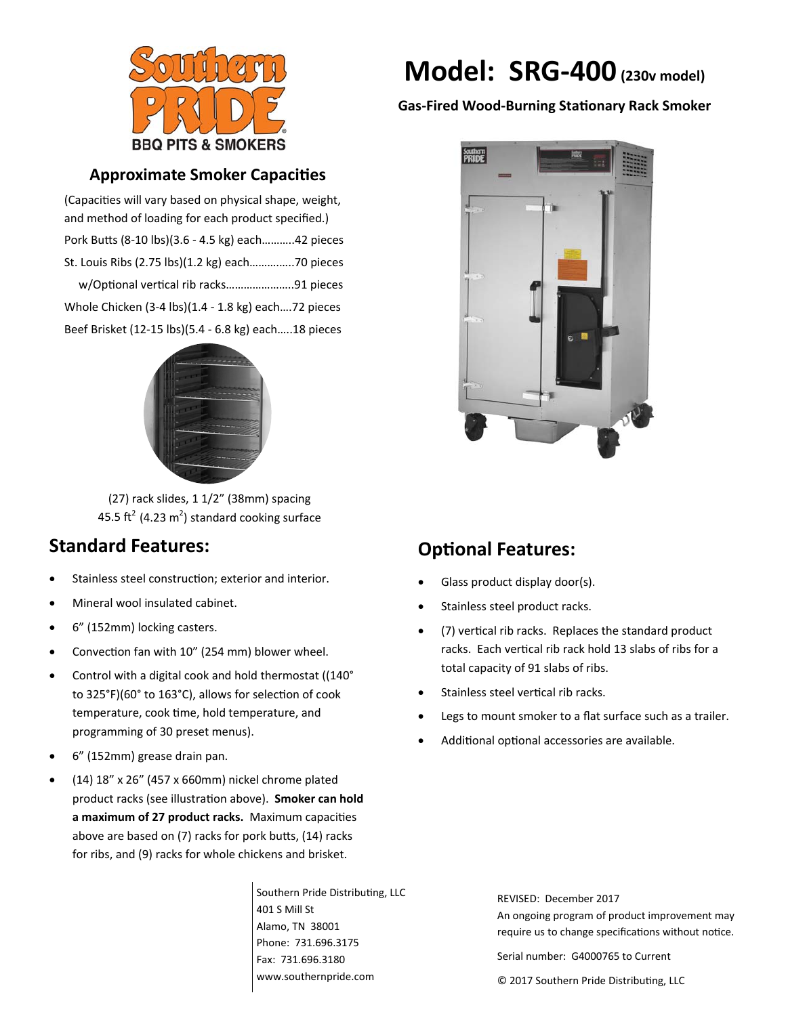

## **Approximate Smoker CapaciƟes**

(Capacities will vary based on physical shape, weight, and method of loading for each product specified.) Pork BuƩs (8‐10 lbs)(3.6 ‐ 4.5 kg) each………..42 pieces St. Louis Ribs (2.75 lbs)(1.2 kg) each……….…..70 pieces w/Optional vertical rib racks..........................91 pieces Whole Chicken (3‐4 lbs)(1.4 ‐ 1.8 kg) each….72 pieces Beef Brisket (12‐15 lbs)(5.4 ‐ 6.8 kg) each…..18 pieces



(27) rack slides, 1 1/2" (38mm) spacing 45.5 ft<sup>2</sup> (4.23 m<sup>2</sup>) standard cooking surface

## **Standard Features:**

- Stainless steel construction; exterior and interior.
- Mineral wool insulated cabinet.
- 6" (152mm) locking casters.
- Convection fan with 10" (254 mm) blower wheel.
- Control with a digital cook and hold thermostat ((140° to 325°F)(60° to 163°C), allows for selection of cook temperature, cook time, hold temperature, and programming of 30 preset menus).
- 6" (152mm) grease drain pan.
- (14) 18" x 26" (457 x 660mm) nickel chrome plated product racks (see illustraƟon above). **Smoker can hold a maximum of 27 product racks.** Maximum capaciƟes above are based on (7) racks for pork butts, (14) racks for ribs, and (9) racks for whole chickens and brisket.

Southern Pride Distributing, LLC 401 S Mill St Alamo, TN 38001 Phone: 731.696.3175 Fax: 731.696.3180 www.southernpride.com

# **Model: SRG‐400(230v model)**

### **Gas‐Fired Wood‐Burning StaƟonary Rack Smoker**



## **OpƟonal Features:**

- Glass product display door(s).
- Stainless steel product racks.
- $(7)$  vertical rib racks. Replaces the standard product racks. Each vertical rib rack hold 13 slabs of ribs for a total capacity of 91 slabs of ribs.
- Stainless steel vertical rib racks.
- Legs to mount smoker to a flat surface such as a trailer.
- Additional optional accessories are available.

REVISED: December 2017 An ongoing program of product improvement may require us to change specifications without notice.

Serial number: G4000765 to Current

© 2017 Southern Pride DistribuƟng, LLC